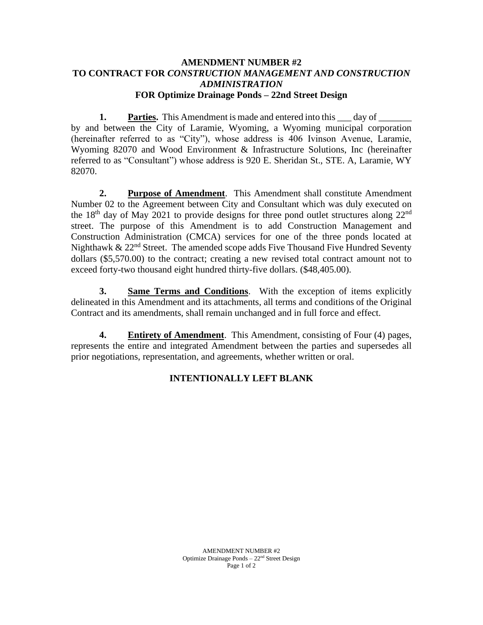## **AMENDMENT NUMBER #2 TO CONTRACT FOR** *CONSTRUCTION MANAGEMENT AND CONSTRUCTION ADMINISTRATION* **FOR Optimize Drainage Ponds – 22nd Street Design**

**1. Parties.** This Amendment is made and entered into this \_\_\_ day of \_\_\_\_\_\_ by and between the City of Laramie, Wyoming, a Wyoming municipal corporation (hereinafter referred to as "City"), whose address is 406 Ivinson Avenue, Laramie, Wyoming 82070 and Wood Environment & Infrastructure Solutions, Inc (hereinafter referred to as "Consultant") whose address is 920 E. Sheridan St., STE. A, Laramie, WY 82070.

**2. Purpose of Amendment**. This Amendment shall constitute Amendment Number 02 to the Agreement between City and Consultant which was duly executed on the  $18<sup>th</sup>$  day of May 2021 to provide designs for three pond outlet structures along  $22<sup>nd</sup>$ street. The purpose of this Amendment is to add Construction Management and Construction Administration (CMCA) services for one of the three ponds located at Nighthawk  $\&$  22<sup>nd</sup> Street. The amended scope adds Five Thousand Five Hundred Seventy dollars (\$5,570.00) to the contract; creating a new revised total contract amount not to exceed forty-two thousand eight hundred thirty-five dollars. (\$48,405.00).

**3. Same Terms and Conditions**. With the exception of items explicitly delineated in this Amendment and its attachments, all terms and conditions of the Original Contract and its amendments, shall remain unchanged and in full force and effect.

**4. Entirety of Amendment**. This Amendment, consisting of Four (4) pages, represents the entire and integrated Amendment between the parties and supersedes all prior negotiations, representation, and agreements, whether written or oral.

# **INTENTIONALLY LEFT BLANK**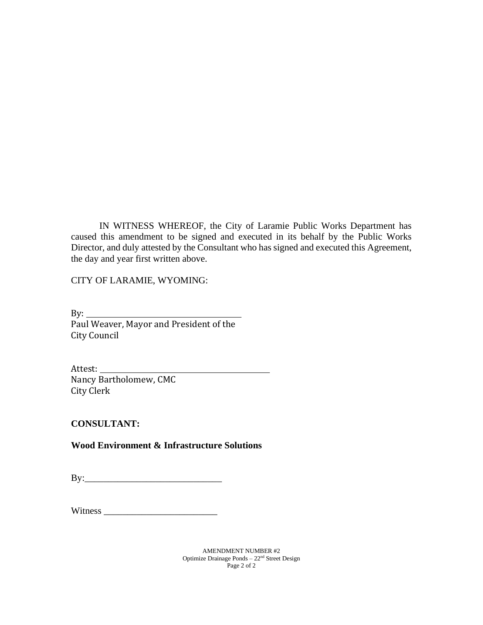IN WITNESS WHEREOF, the City of Laramie Public Works Department has caused this amendment to be signed and executed in its behalf by the Public Works Director, and duly attested by the Consultant who has signed and executed this Agreement, the day and year first written above.

CITY OF LARAMIE, WYOMING:

 $By:$ Paul Weaver, Mayor and President of the City Council

Attest: Nancy Bartholomew, CMC City Clerk

**CONSULTANT:**

**Wood Environment & Infrastructure Solutions** 

By:\_\_\_\_\_\_\_\_\_\_\_\_\_\_\_\_\_\_\_\_\_\_\_\_\_\_\_\_\_

Witness \_\_\_\_\_\_\_\_\_\_\_\_\_\_\_\_\_\_\_\_\_\_\_\_

AMENDMENT NUMBER #2 Optimize Drainage Ponds – 22nd Street Design Page 2 of 2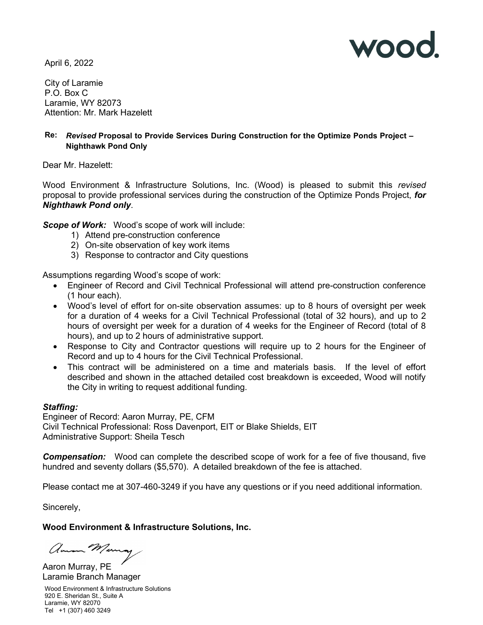

April 6, 2022

City of Laramie P.O. Box C Laramie, WY 82073 Attention: Mr. Mark Hazelett

## Re: Revised Proposal to Provide Services During Construction for the Optimize Ponds Project – Nighthawk Pond Only

Dear Mr. Hazelett:

Wood Environment & Infrastructure Solutions, Inc. (Wood) is pleased to submit this revised proposal to provide professional services during the construction of the Optimize Ponds Project, for Nighthawk Pond only.

Scope of Work: Wood's scope of work will include:

- 1) Attend pre-construction conference
- 2) On-site observation of key work items
- 3) Response to contractor and City questions

Assumptions regarding Wood's scope of work:

- Engineer of Record and Civil Technical Professional will attend pre-construction conference (1 hour each).
- Wood's level of effort for on-site observation assumes: up to 8 hours of oversight per week for a duration of 4 weeks for a Civil Technical Professional (total of 32 hours), and up to 2 hours of oversight per week for a duration of 4 weeks for the Engineer of Record (total of 8 hours), and up to 2 hours of administrative support.
- Response to City and Contractor questions will require up to 2 hours for the Engineer of Record and up to 4 hours for the Civil Technical Professional.
- This contract will be administered on a time and materials basis. If the level of effort described and shown in the attached detailed cost breakdown is exceeded, Wood will notify the City in writing to request additional funding.

### Staffing:

Engineer of Record: Aaron Murray, PE, CFM Civil Technical Professional: Ross Davenport, EIT or Blake Shields, EIT Administrative Support: Sheila Tesch

**Compensation:** Wood can complete the described scope of work for a fee of five thousand, five hundred and seventy dollars (\$5,570). A detailed breakdown of the fee is attached.

Please contact me at 307-460-3249 if you have any questions or if you need additional information.

Sincerely,

### Wood Environment & Infrastructure Solutions, Inc.

amon Munay

Aaron Murray, PE Laramie Branch Manager

Wood Environment & Infrastructure Solutions 920 E. Sheridan St., Suite A Laramie, WY 82070 Tel +1 (307) 460 3249